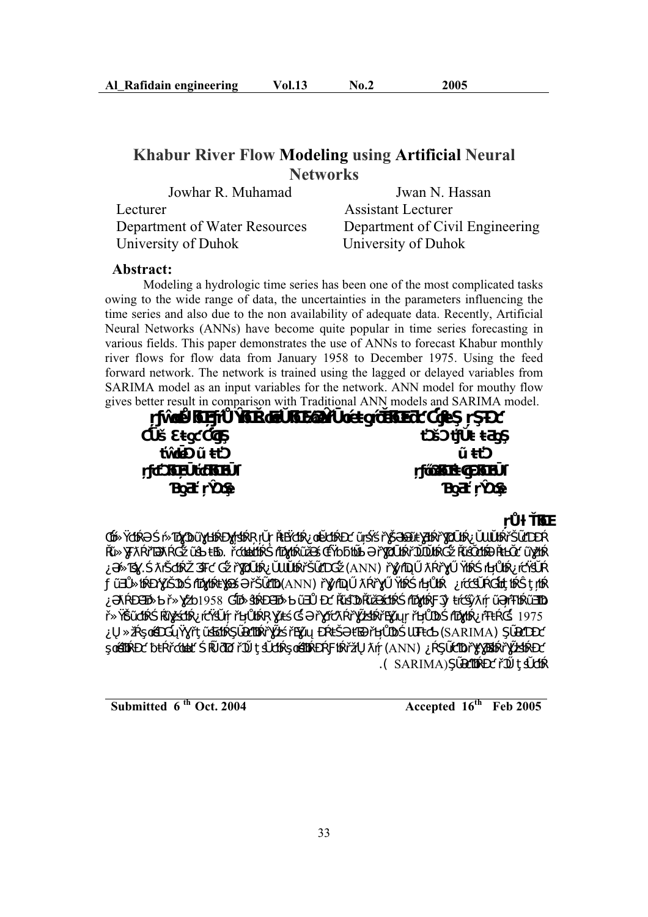# **Khabur River Flow Modeling using Artificial Neural Networks**

 Jowhar R. Muhamad Jwan N. Hassan Lecturer Assistant Lecturer Department of Water Resources Department of Civil Engineering University of Duhok University of Duhok

### **Abstract:**

Modeling a hydrologic time series has been one of the most complicated tasks owing to the wide range of data, the uncertainties in the parameters influencing the time series and also due to the non availability of adequate data. Recently, Artificial Neural Networks (ANNs) have become quite popular in time series forecasting in various fields. This paper demonstrates the use of ANNs to forecast Khabur monthly river flows for flow data from January 1958 to December 1975. Using the feed forward network. The network is trained using the lagged or delayed variables from SARIMA model as an input variables for the network. ANN model for mouthy flow gives better result in comparison with Traditional ANN models and SARIMA model.

*Ø* 



**Accepted 16<sup>th</sup> Feb 2005 Accepted 16<sup>th</sup> Feb 2005**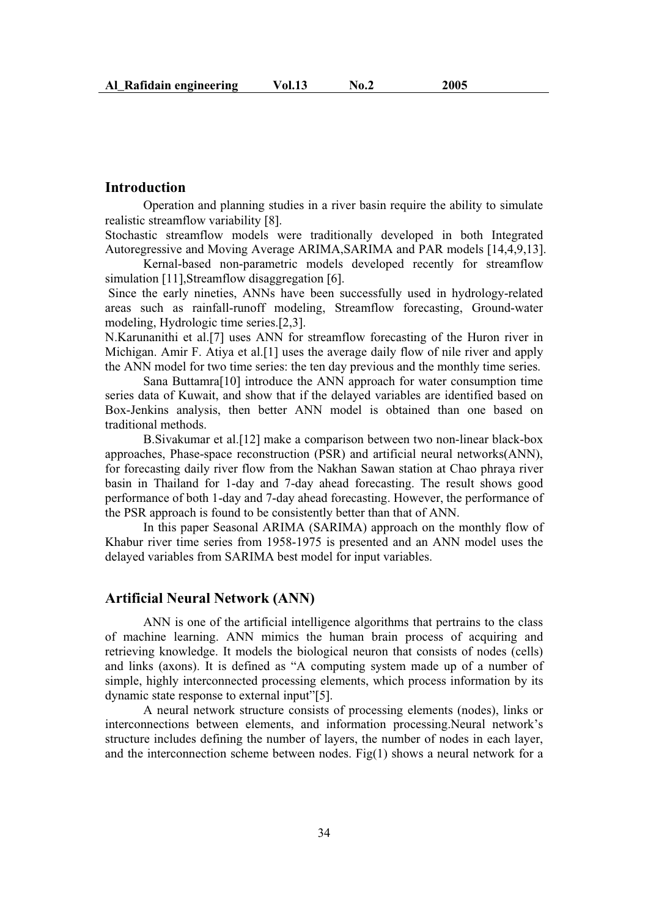### **Introduction**

 Operation and planning studies in a river basin require the ability to simulate realistic streamflow variability [8].

Stochastic streamflow models were traditionally developed in both Integrated Autoregressive and Moving Average ARIMA,SARIMA and PAR models [14,4,9,13].

Kernal-based non-parametric models developed recently for streamflow simulation [11], Streamflow disaggregation [6].

 Since the early nineties, ANNs have been successfully used in hydrology-related areas such as rainfall-runoff modeling, Streamflow forecasting, Ground-water modeling, Hydrologic time series.[2,3].

N.Karunanithi et al.[7] uses ANN for streamflow forecasting of the Huron river in Michigan. Amir F. Atiya et al.[1] uses the average daily flow of nile river and apply the ANN model for two time series: the ten day previous and the monthly time series.

Sana Buttamra[10] introduce the ANN approach for water consumption time series data of Kuwait, and show that if the delayed variables are identified based on Box-Jenkins analysis, then better ANN model is obtained than one based on traditional methods.

B.Sivakumar et al.[12] make a comparison between two non-linear black-box approaches, Phase-space reconstruction (PSR) and artificial neural networks(ANN), for forecasting daily river flow from the Nakhan Sawan station at Chao phraya river basin in Thailand for 1-day and 7-day ahead forecasting. The result shows good performance of both 1-day and 7-day ahead forecasting. However, the performance of the PSR approach is found to be consistently better than that of ANN.

In this paper Seasonal ARIMA (SARIMA) approach on the monthly flow of Khabur river time series from 1958-1975 is presented and an ANN model uses the delayed variables from SARIMA best model for input variables.

### **Artificial Neural Network (ANN)**

ANN is one of the artificial intelligence algorithms that pertrains to the class of machine learning. ANN mimics the human brain process of acquiring and retrieving knowledge. It models the biological neuron that consists of nodes (cells) and links (axons). It is defined as "A computing system made up of a number of simple, highly interconnected processing elements, which process information by its dynamic state response to external input"[5].

A neural network structure consists of processing elements (nodes), links or interconnections between elements, and information processing.Neural network's structure includes defining the number of layers, the number of nodes in each layer, and the interconnection scheme between nodes. Fig $(1)$  shows a neural network for a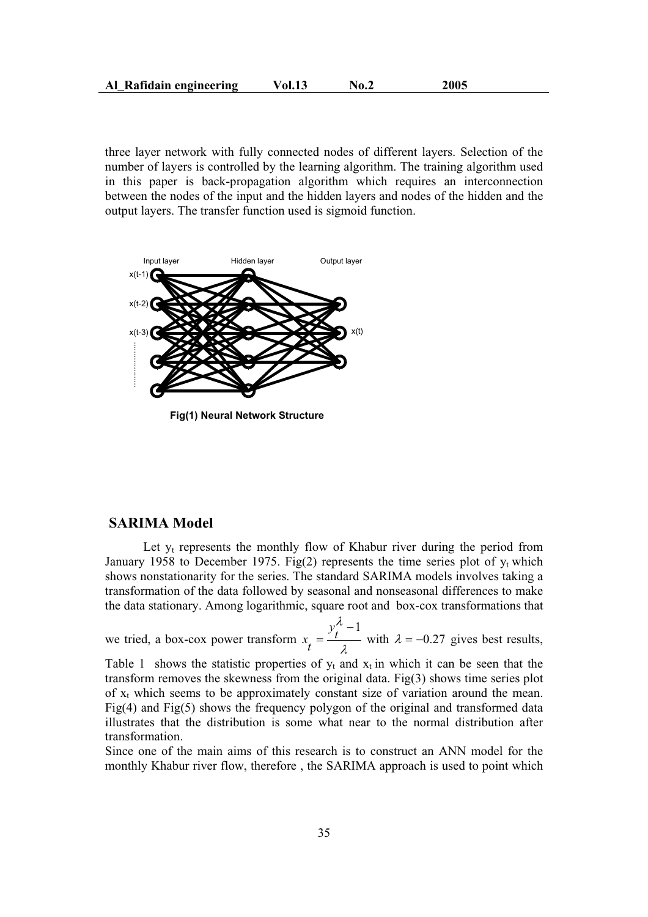three layer network with fully connected nodes of different layers. Selection of the number of layers is controlled by the learning algorithm. The training algorithm used in this paper is back-propagation algorithm which requires an interconnection between the nodes of the input and the hidden layers and nodes of the hidden and the output layers. The transfer function used is sigmoid function.



**Fig(1) Neural Network Structure**

### **SARIMA Model**

Let  $y_t$  represents the monthly flow of Khabur river during the period from January 1958 to December 1975. Fig(2) represents the time series plot of  $y_t$  which shows nonstationarity for the series. The standard SARIMA models involves taking a transformation of the data followed by seasonal and nonseasonal differences to make the data stationary. Among logarithmic, square root and box-cox transformations that

we tried, a box-cox power transform  $x_t = \frac{y_t^{\lambda} - 1}{\lambda}$  $x_t = \frac{t}{\lambda}$  with  $\lambda = -0.27$  gives best results,

Table 1 shows the statistic properties of  $y_t$  and  $x_t$  in which it can be seen that the transform removes the skewness from the original data. Fig( $3$ ) shows time series plot of  $x_t$  which seems to be approximately constant size of variation around the mean. Fig(4) and Fig(5) shows the frequency polygon of the original and transformed data illustrates that the distribution is some what near to the normal distribution after transformation.

Since one of the main aims of this research is to construct an ANN model for the monthly Khabur river flow, therefore , the SARIMA approach is used to point which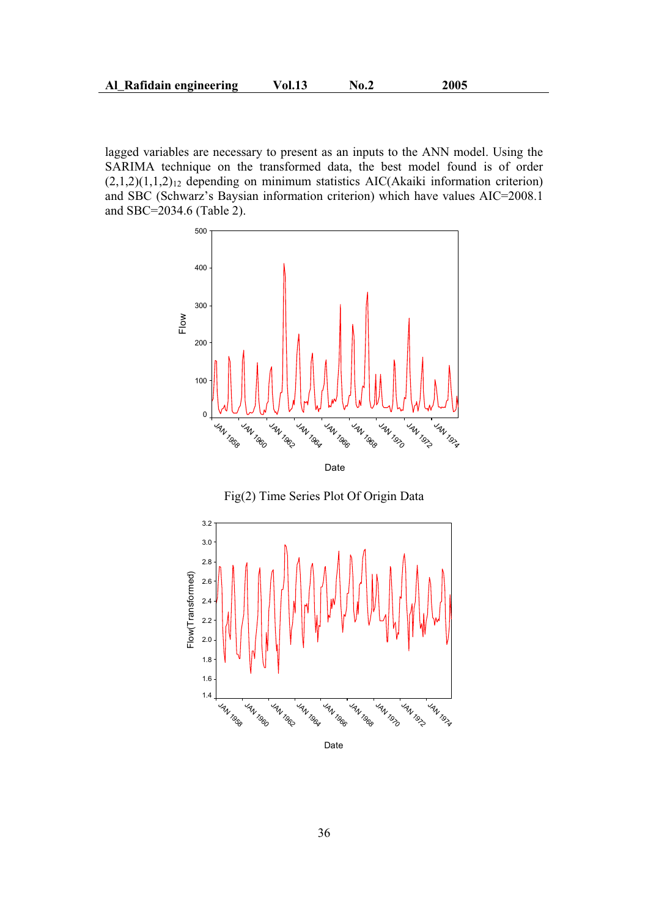lagged variables are necessary to present as an inputs to the ANN model. Using the SARIMA technique on the transformed data, the best model found is of order  $(2,1,2)(1,1,2)_{12}$  depending on minimum statistics AIC(Akaiki information criterion) and SBC (Schwarz's Baysian information criterion) which have values AIC=2008.1 and SBC=2034.6 (Table 2).





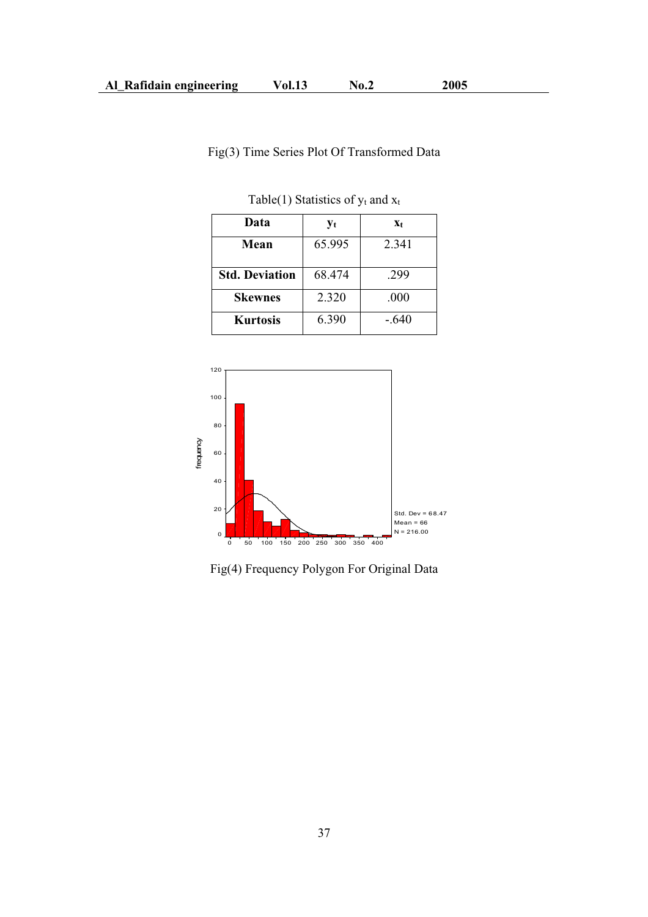# Fig(3) Time Series Plot Of Transformed Data

| Data                  | $y_t$  | $X_t$ |
|-----------------------|--------|-------|
| Mean                  | 65.995 | 2.341 |
| <b>Std. Deviation</b> | 68.474 | .299  |
| <b>Skewnes</b>        | 2.320  | .000  |
| <b>Kurtosis</b>       | 6.390  | -.640 |

Table(1) Statistics of  $y_t$  and  $x_t$ 



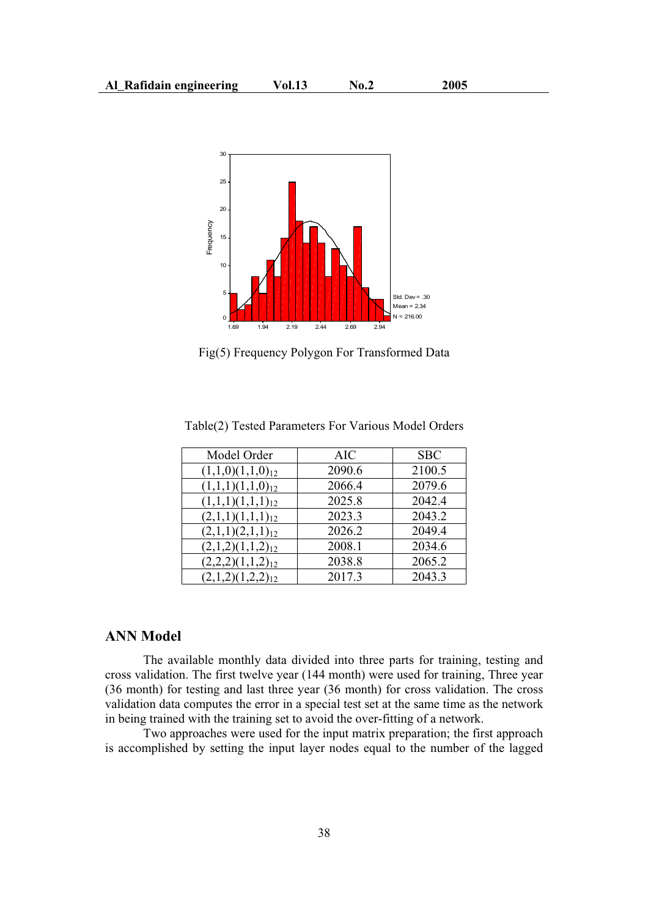

Fig(5) Frequency Polygon For Transformed Data

| Model Order           | <b>AIC</b> | <b>SBC</b> |
|-----------------------|------------|------------|
| $(1,1,0)(1,1,0)_{12}$ | 2090.6     | 2100.5     |
| $(1,1,1)(1,1,0)_{12}$ | 2066.4     | 2079.6     |
| $(1,1,1)(1,1,1)_{12}$ | 2025.8     | 2042.4     |
| $(2,1,1)(1,1,1)_{12}$ | 2023.3     | 2043.2     |
| $(2,1,1)(2,1,1)_{12}$ | 2026.2     | 2049.4     |
| $(2,1,2)(1,1,2)_{12}$ | 2008.1     | 2034.6     |
| $(2,2,2)(1,1,2)_{12}$ | 2038.8     | 2065.2     |
| $(2,1,2)(1,2,2)_{12}$ | 2017.3     | 2043.3     |

Table(2) Tested Parameters For Various Model Orders

### **ANN Model**

The available monthly data divided into three parts for training, testing and cross validation. The first twelve year (144 month) were used for training, Three year (36 month) for testing and last three year (36 month) for cross validation. The cross validation data computes the error in a special test set at the same time as the network in being trained with the training set to avoid the over-fitting of a network.

Two approaches were used for the input matrix preparation; the first approach is accomplished by setting the input layer nodes equal to the number of the lagged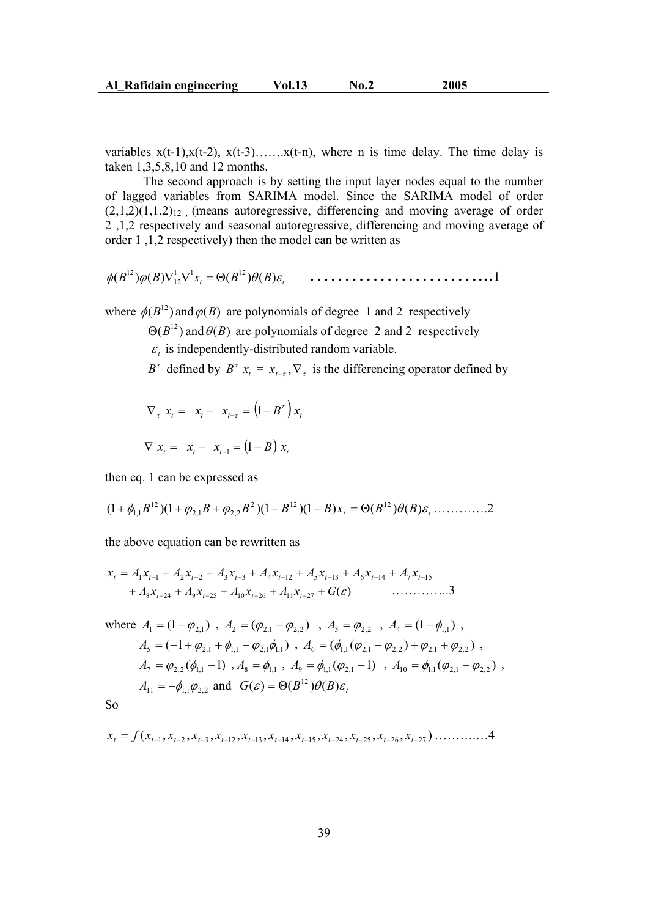variables  $x(t-1), x(t-2), x(t-3), \ldots, x(t-n)$ , where n is time delay. The time delay is taken 1,3,5,8,10 and 12 months.

The second approach is by setting the input layer nodes equal to the number of lagged variables from SARIMA model. Since the SARIMA model of order  $(2,1,2)(1,1,2)_{12}$  (means autoregressive, differencing and moving average of order 2 ,1,2 respectively and seasonal autoregressive, differencing and moving average of order 1 ,1,2 respectively) then the model can be written as

$$
\phi(B^{12})\phi(B)\nabla_{12}^1\nabla_{12}^1 x_t = \Theta(B^{12})\theta(B)\varepsilon_t \qquad \ldots \ldots \ldots \ldots \ldots \ldots \ldots \ldots \ldots \ldots \ldots \ldots
$$

where  $\phi(B^{12})$  and  $\phi(B)$  are polynomials of degree 1 and 2 respectively

 $\Theta(B^{12})$  and  $\Theta(B)$  are polynomials of degree 2 and 2 respectively  $\varepsilon$ <sub>t</sub> is independently-distributed random variable.

 $B^{\tau}$  defined by  $B^{\tau}$   $x_t = x_{t-\tau}$ ,  $\nabla_{\tau}$  is the differencing operator defined by

$$
\nabla_{\tau} x_t = x_t - x_{t-\tau} = (1 - B^{\tau}) x_t
$$

$$
\nabla x_t = x_t - x_{t-1} = (1 - B) x_t
$$

then eq. 1 can be expressed as

$$
(1+\phi_{1,1}B^{12})(1+\phi_{2,1}B+\phi_{2,2}B^{2})(1-B^{12})(1-B)x_{t} = \Theta(B^{12})\theta(B)\varepsilon_{t} \dots \dots \dots \dots 2
$$

the above equation can be rewritten as

$$
x_{t} = A_{1}x_{t-1} + A_{2}x_{t-2} + A_{3}x_{t-3} + A_{4}x_{t-12} + A_{5}x_{t-13} + A_{6}x_{t-14} + A_{7}x_{t-15} + A_{8}x_{t-24} + A_{9}x_{t-25} + A_{10}x_{t-26} + A_{11}x_{t-27} + G(\varepsilon) \tag{3}
$$

where 
$$
A_1 = (1 - \varphi_{2,1})
$$
,  $A_2 = (\varphi_{2,1} - \varphi_{2,2})$ ,  $A_3 = \varphi_{2,2}$ ,  $A_4 = (1 - \varphi_{1,1})$ ,  
\n $A_5 = (-1 + \varphi_{2,1} + \varphi_{1,1} - \varphi_{2,1}\varphi_{1,1})$ ,  $A_6 = (\varphi_{1,1}(\varphi_{2,1} - \varphi_{2,2}) + \varphi_{2,1} + \varphi_{2,2})$ ,  
\n $A_7 = \varphi_{2,2}(\varphi_{1,1} - 1)$ ,  $A_8 = \varphi_{1,1}$ ,  $A_9 = \varphi_{1,1}(\varphi_{2,1} - 1)$ ,  $A_{10} = \varphi_{1,1}(\varphi_{2,1} + \varphi_{2,2})$ ,  
\n $A_{11} = -\varphi_{1,1}\varphi_{2,2}$  and  $G(\varepsilon) = \Theta(B^{12})\theta(B)\varepsilon_t$ 

So

$$
x_{t} = f(x_{t-1}, x_{t-2}, x_{t-3}, x_{t-12}, x_{t-13}, x_{t-14}, x_{t-15}, x_{t-24}, x_{t-25}, x_{t-26}, x_{t-27}) \dots \dots \dots \dots \dots 4
$$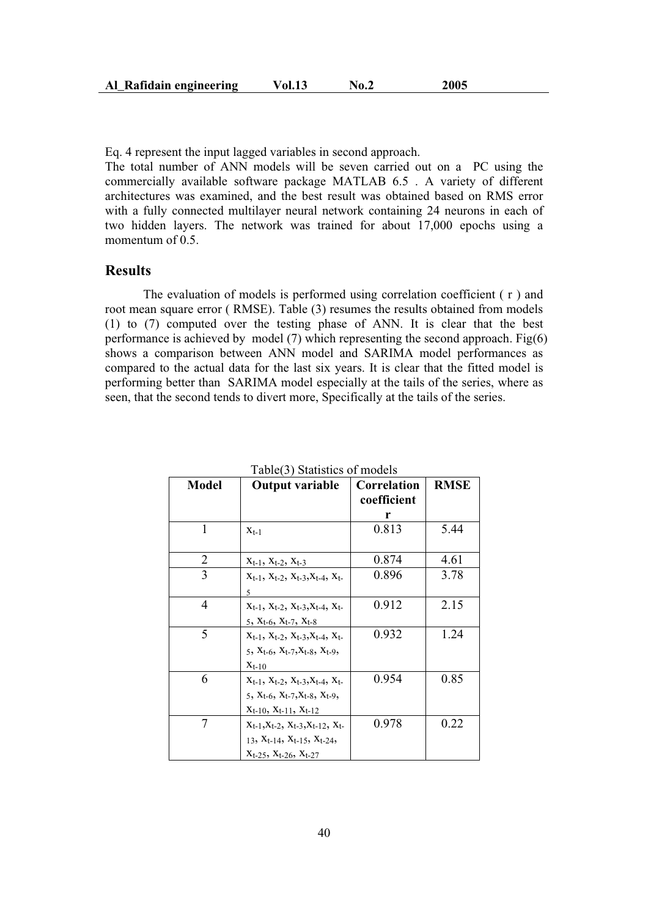| 2005<br>Al Rafidain engineering<br>Vol.13<br>No.2 |  |
|---------------------------------------------------|--|
|---------------------------------------------------|--|

Eq. 4 represent the input lagged variables in second approach.

The total number of ANN models will be seven carried out on a PC using the commercially available software package MATLAB 6.5 . A variety of different architectures was examined, and the best result was obtained based on RMS error with a fully connected multilayer neural network containing 24 neurons in each of two hidden layers. The network was trained for about 17,000 epochs using a momentum of 0.5.

## **Results**

The evaluation of models is performed using correlation coefficient ( r ) and root mean square error ( RMSE). Table (3) resumes the results obtained from models (1) to (7) computed over the testing phase of ANN. It is clear that the best performance is achieved by model (7) which representing the second approach. Fig(6) shows a comparison between ANN model and SARIMA model performances as compared to the actual data for the last six years. It is clear that the fitted model is performing better than SARIMA model especially at the tails of the series, where as seen, that the second tends to divert more, Specifically at the tails of the series.

| Model | <b>Output variable</b>                                                                                                                                  | Correlation<br>coefficient | <b>RMSE</b> |
|-------|---------------------------------------------------------------------------------------------------------------------------------------------------------|----------------------------|-------------|
|       |                                                                                                                                                         | r                          |             |
| 1     | $X_{t-1}$                                                                                                                                               | 0.813                      | 5.44        |
| 2     | $X_{t-1}$ , $X_{t-2}$ , $X_{t-3}$                                                                                                                       | 0.874                      | 4.61        |
| 3     | $X_{t-1}$ , $X_{t-2}$ , $X_{t-3}$ , $X_{t-4}$ , $X_{t-5}$<br>5                                                                                          | 0.896                      | 3.78        |
| 4     | $X_{t-1}$ , $X_{t-2}$ , $X_{t-3}$ , $X_{t-4}$ , $X_{t-5}$<br>5, $X_{t-6}$ , $X_{t-7}$ , $X_{t-8}$                                                       | 0.912                      | 2.15        |
| 5     | $X_{t-1}$ , $X_{t-2}$ , $X_{t-3}$ , $X_{t-4}$ , $X_{t-5}$<br>5, $X_{t-6}$ , $X_{t-7}$ , $X_{t-8}$ , $X_{t-9}$ ,<br>$X_{t-10}$                           | 0.932                      | 1.24        |
| 6     | $X_{t-1}$ , $X_{t-2}$ , $X_{t-3}$ , $X_{t-4}$ , $X_{t-5}$<br>5, $X_{t-6}$ , $X_{t-7}$ , $X_{t-8}$ , $X_{t-9}$ ,<br>$X_{t-10}$ , $X_{t-11}$ , $X_{t-12}$ | 0.954                      | 0.85        |
| 7     | $X_{t-1}, X_{t-2}, X_{t-3}, X_{t-12}, X_{t-12}$<br>13, $X_{t-14}$ , $X_{t-15}$ , $X_{t-24}$<br>$X_{t-25}$ , $X_{t-26}$ , $X_{t-27}$                     | 0.978                      | 0.22        |

Table(3) Statistics of models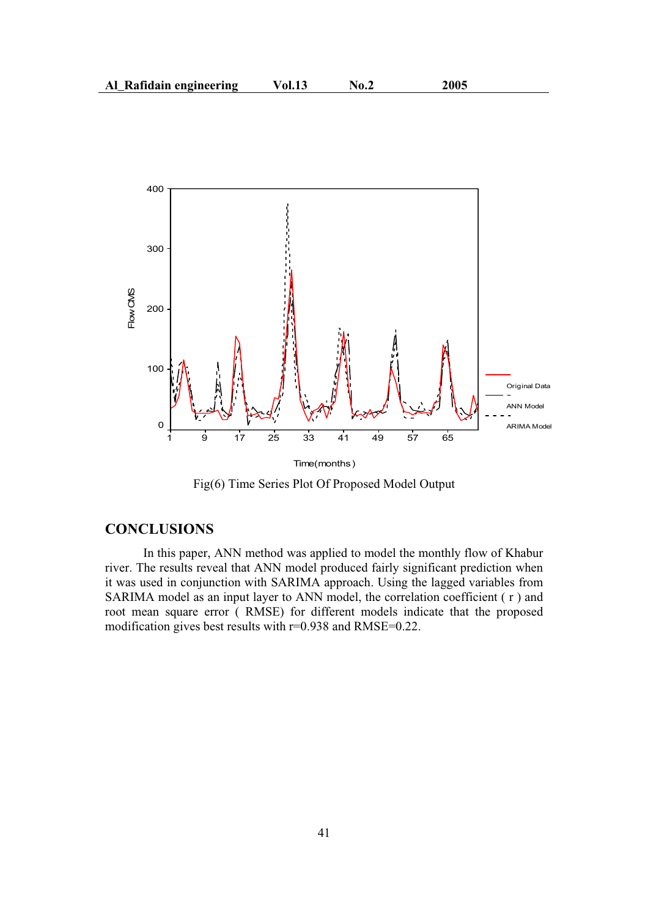

Fig(6) Time Series Plot Of Proposed Model Output

### **CONCLUSIONS**

In this paper, ANN method was applied to model the monthly flow of Khabur river. The results reveal that ANN model produced fairly significant prediction when it was used in conjunction with SARIMA approach. Using the lagged variables from SARIMA model as an input layer to ANN model, the correlation coefficient ( r ) and root mean square error ( RMSE) for different models indicate that the proposed modification gives best results with r=0.938 and RMSE=0.22.